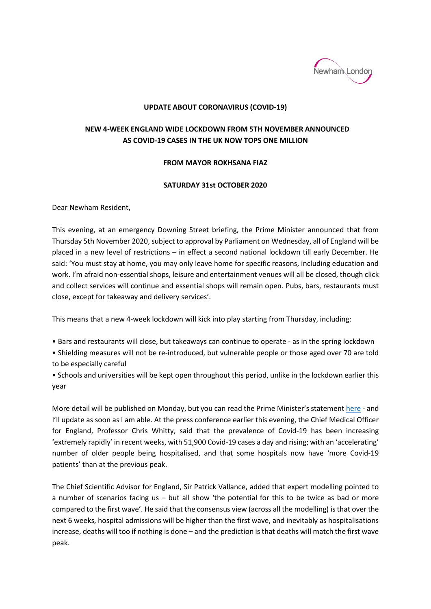

## **UPDATE ABOUT CORONAVIRUS (COVID-19)**

## **NEW 4-WEEK ENGLAND WIDE LOCKDOWN FROM 5TH NOVEMBER ANNOUNCED AS COVID-19 CASES IN THE UK NOW TOPS ONE MILLION**

## **FROM MAYOR ROKHSANA FIAZ**

## **SATURDAY 31st OCTOBER 2020**

Dear Newham Resident,

This evening, at an emergency Downing Street briefing, the Prime Minister announced that from Thursday 5th November 2020, subject to approval by Parliament on Wednesday, all of England will be placed in a new level of restrictions – in effect a second national lockdown till early December. He said: 'You must stay at home, you may only leave home for specific reasons, including education and work. I'm afraid non-essential shops, leisure and entertainment venues will all be closed, though click and collect services will continue and essential shops will remain open. Pubs, bars, restaurants must close, except for takeaway and delivery services'.

This means that a new 4-week lockdown will kick into play starting from Thursday, including:

• Bars and restaurants will close, but takeaways can continue to operate - as in the spring lockdown

• Shielding measures will not be re-introduced, but vulnerable people or those aged over 70 are told to be especially careful

• Schools and universities will be kept open throughout this period, unlike in the lockdown earlier this year

More detail will be published on Monday, but you can read the Prime Minister's statement [here](https://www.gov.uk/government/speeches/prime-ministers-statement-on-coronavirus-covid-19-31-october-2020) - and I'll update as soon as I am able. At the press conference earlier this evening, the Chief Medical Officer for England, Professor Chris Whitty, said that the prevalence of Covid-19 has been increasing 'extremely rapidly' in recent weeks, with 51,900 Covid-19 cases a day and rising; with an 'accelerating' number of older people being hospitalised, and that some hospitals now have 'more Covid-19 patients' than at the previous peak.

The Chief Scientific Advisor for England, Sir Patrick Vallance, added that expert modelling pointed to a number of scenarios facing us – but all show 'the potential for this to be twice as bad or more compared to the first wave'. He said that the consensus view (across all the modelling) is that over the next 6 weeks, hospital admissions will be higher than the first wave, and inevitably as hospitalisations increase, deaths will too if nothing is done – and the prediction is that deaths will match the first wave peak.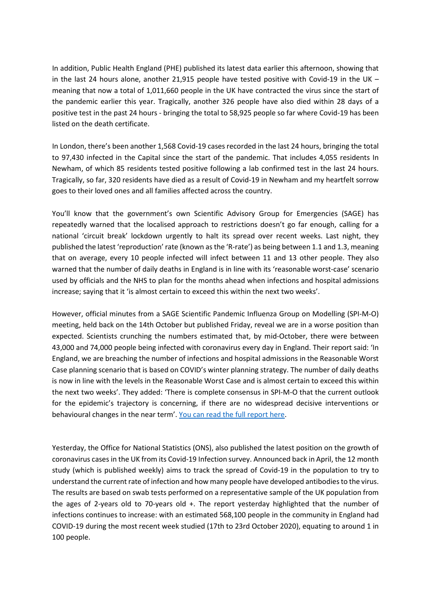In addition, Public Health England (PHE) published its latest data earlier this afternoon, showing that in the last 24 hours alone, another 21,915 people have tested positive with Covid-19 in the UK – meaning that now a total of 1,011,660 people in the UK have contracted the virus since the start of the pandemic earlier this year. Tragically, another 326 people have also died within 28 days of a positive test in the past 24 hours - bringing the total to 58,925 people so far where Covid-19 has been listed on the death certificate.

In London, there's been another 1,568 Covid-19 cases recorded in the last 24 hours, bringing the total to 97,430 infected in the Capital since the start of the pandemic. That includes 4,055 residents In Newham, of which 85 residents tested positive following a lab confirmed test in the last 24 hours. Tragically, so far, 320 residents have died as a result of Covid-19 in Newham and my heartfelt sorrow goes to their loved ones and all families affected across the country.

You'll know that the government's own Scientific Advisory Group for Emergencies (SAGE) has repeatedly warned that the localised approach to restrictions doesn't go far enough, calling for a national 'circuit break' lockdown urgently to halt its spread over recent weeks. Last night, they published the latest 'reproduction' rate (known as the 'R-rate') as being between 1.1 and 1.3, meaning that on average, every 10 people infected will infect between 11 and 13 other people. They also warned that the number of daily deaths in England is in line with its 'reasonable worst-case' scenario used by officials and the NHS to plan for the months ahead when infections and hospital admissions increase; saying that it 'is almost certain to exceed this within the next two weeks'.

However, official minutes from a SAGE Scientific Pandemic Influenza Group on Modelling (SPI-M-O) meeting, held back on the 14th October but published Friday, reveal we are in a worse position than expected. Scientists crunching the numbers estimated that, by mid-October, there were between 43,000 and 74,000 people being infected with coronavirus every day in England. Their report said: 'In England, we are breaching the number of infections and hospital admissions in the Reasonable Worst Case planning scenario that is based on COVID's winter planning strategy. The number of daily deaths is now in line with the levels in the Reasonable Worst Case and is almost certain to exceed this within the next two weeks'. They added: 'There is complete consensus in SPI-M-O that the current outlook for the epidemic's trajectory is concerning, if there are no widespread decisive interventions or behavioural changes in the near term'. [You can read the full report here.](https://assets.publishing.service.gov.uk/government/uploads/system/uploads/attachment_data/file/931162/S0808_SAGE62_201014_SPI-M-O_Consensus_Statement.pdf)

Yesterday, the Office for National Statistics (ONS), also published the latest position on the growth of coronavirus cases in the UK from its Covid-19 Infection survey. Announced back in April, the 12 month study (which is published weekly) aims to track the spread of Covid-19 in the population to try to understand the current rate of infection and how many people have developed antibodies to the virus. The results are based on swab tests performed on a representative sample of the UK population from the ages of 2-years old to 70-years old +. The report yesterday highlighted that the number of infections continues to increase: with an estimated 568,100 people in the community in England had COVID-19 during the most recent week studied (17th to 23rd October 2020), equating to around 1 in 100 people.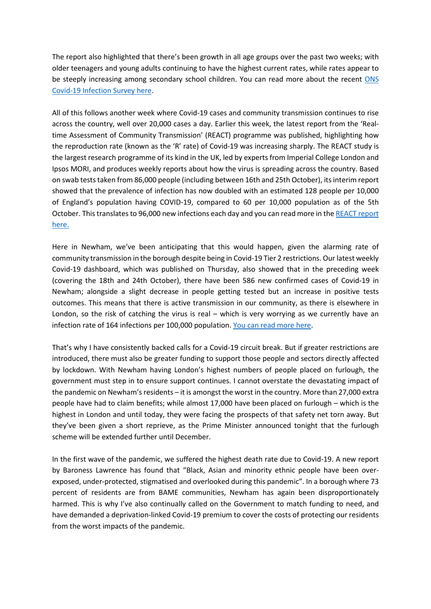The report also highlighted that there's been growth in all age groups over the past two weeks; with older teenagers and young adults continuing to have the highest current rates, while rates appear to be steeply increasing among secondary school children. You can read more about the recent [ONS](https://www.ons.gov.uk/peoplepopulationandcommunity/healthandsocialcare/conditionsanddiseases/bulletins/coronaviruscovid19infectionsurveypilot/30october2020)  [Covid-19 Infection Survey here.](https://www.ons.gov.uk/peoplepopulationandcommunity/healthandsocialcare/conditionsanddiseases/bulletins/coronaviruscovid19infectionsurveypilot/30october2020)

All of this follows another week where Covid-19 cases and community transmission continues to rise across the country, well over 20,000 cases a day. Earlier this week, the latest report from the 'Realtime Assessment of Community Transmission' (REACT) programme was published, highlighting how the reproduction rate (known as the 'R' rate) of Covid-19 was increasing sharply. The REACT study is the largest research programme of its kind in the UK, led by experts from Imperial College London and Ipsos MORI, and produces weekly reports about how the virus is spreading across the country. Based on swab tests taken from 86,000 people (including between 16th and 25th October), its interim report showed that the prevalence of infection has now doubled with an estimated 128 people per 10,000 of England's population having COVID-19, compared to 60 per 10,000 population as of the 5th October. This translates to 96,000 new infections each day and you can read more in the [REACT report](https://www.imperial.ac.uk/media/imperial-college/institute-of-global-health-innovation/REACT1_r6_interim_preprint.pdf)  [here.](https://www.imperial.ac.uk/media/imperial-college/institute-of-global-health-innovation/REACT1_r6_interim_preprint.pdf)

Here in Newham, we've been anticipating that this would happen, given the alarming rate of community transmission in the borough despite being in Covid-19 Tier 2 restrictions. Our latest weekly Covid-19 dashboard, which was published on Thursday, also showed that in the preceding week (covering the 18th and 24th October), there have been 586 new confirmed cases of Covid-19 in Newham; alongside a slight decrease in people getting tested but an increase in positive tests outcomes. This means that there is active transmission in our community, as there is elsewhere in London, so the risk of catching the virus is real – which is very worrying as we currently have an infection rate of 164 infections per 100,000 population. [You can read more here.](https://www.newham.gov.uk/coronavirus-covid-19/covid-dashboard/1)

That's why I have consistently backed calls for a Covid-19 circuit break. But if greater restrictions are introduced, there must also be greater funding to support those people and sectors directly affected by lockdown. With Newham having London's highest numbers of people placed on furlough, the government must step in to ensure support continues. I cannot overstate the devastating impact of the pandemic on Newham's residents – it is amongst the worst in the country. More than 27,000 extra people have had to claim benefits; while almost 17,000 have been placed on furlough – which is the highest in London and until today, they were facing the prospects of that safety net torn away. But they've been given a short reprieve, as the Prime Minister announced tonight that the furlough scheme will be extended further until December.

In the first wave of the pandemic, we suffered the highest death rate due to Covid-19. A new report by Baroness Lawrence has found that "Black, Asian and minority ethnic people have been overexposed, under-protected, stigmatised and overlooked during this pandemic". In a borough where 73 percent of residents are from BAME communities, Newham has again been disproportionately harmed. This is why I've also continually called on the Government to match funding to need, and have demanded a deprivation-linked Covid-19 premium to cover the costs of protecting our residents from the worst impacts of the pandemic.